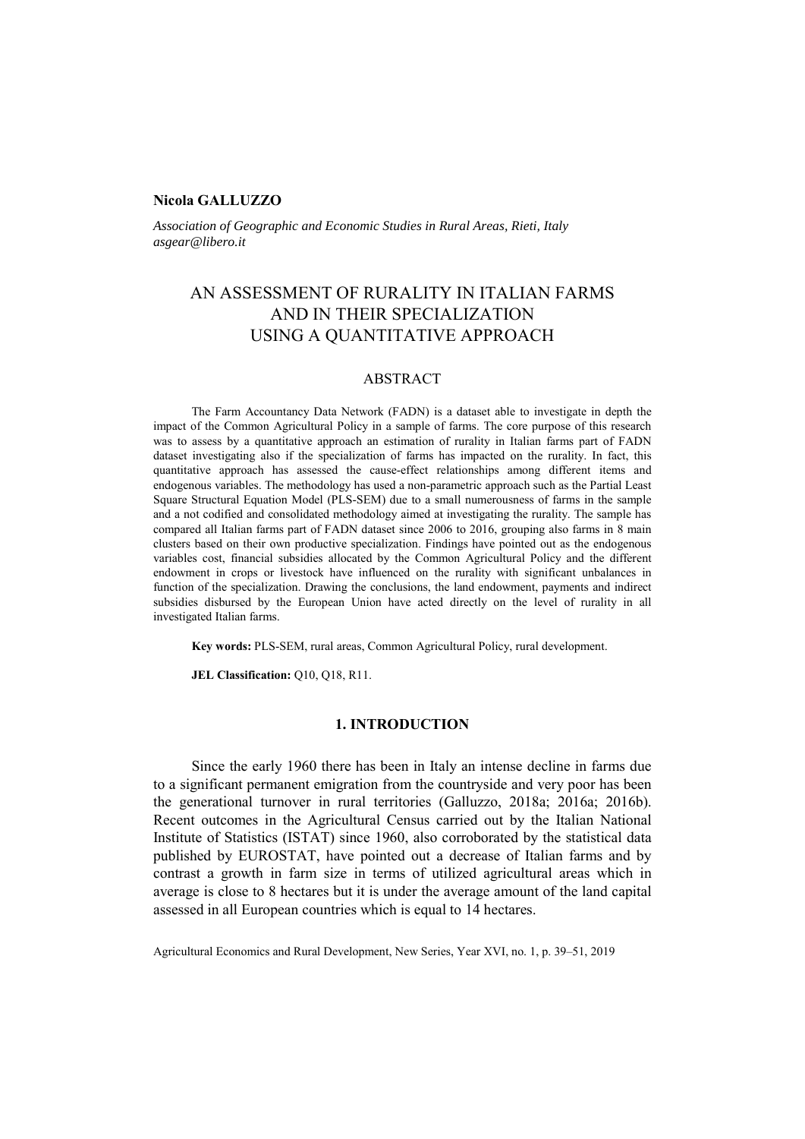### **Nicola GALLUZZO**

*Association of Geographic and Economic Studies in Rural Areas, Rieti, Italy asgear@libero.it*

# AN ASSESSMENT OF RURALITY IN ITALIAN FARMS AND IN THEIR SPECIALIZATION USING A QUANTITATIVE APPROACH

### ABSTRACT

The Farm Accountancy Data Network (FADN) is a dataset able to investigate in depth the impact of the Common Agricultural Policy in a sample of farms. The core purpose of this research was to assess by a quantitative approach an estimation of rurality in Italian farms part of FADN dataset investigating also if the specialization of farms has impacted on the rurality. In fact, this quantitative approach has assessed the cause-effect relationships among different items and endogenous variables. The methodology has used a non-parametric approach such as the Partial Least Square Structural Equation Model (PLS-SEM) due to a small numerousness of farms in the sample and a not codified and consolidated methodology aimed at investigating the rurality. The sample has compared all Italian farms part of FADN dataset since 2006 to 2016, grouping also farms in 8 main clusters based on their own productive specialization. Findings have pointed out as the endogenous variables cost, financial subsidies allocated by the Common Agricultural Policy and the different endowment in crops or livestock have influenced on the rurality with significant unbalances in function of the specialization. Drawing the conclusions, the land endowment, payments and indirect subsidies disbursed by the European Union have acted directly on the level of rurality in all investigated Italian farms.

**Key words:** PLS-SEM, rural areas, Common Agricultural Policy, rural development.

**JEL Classification: O10, O18, R11.** 

## **1. INTRODUCTION**

Since the early 1960 there has been in Italy an intense decline in farms due to a significant permanent emigration from the countryside and very poor has been the generational turnover in rural territories (Galluzzo, 2018a; 2016a; 2016b). Recent outcomes in the Agricultural Census carried out by the Italian National Institute of Statistics (ISTAT) since 1960, also corroborated by the statistical data published by EUROSTAT, have pointed out a decrease of Italian farms and by contrast a growth in farm size in terms of utilized agricultural areas which in average is close to 8 hectares but it is under the average amount of the land capital assessed in all European countries which is equal to 14 hectares.

Agricultural Economics and Rural Development, New Series, Year XVI, no. 1, p. 39–51, 2019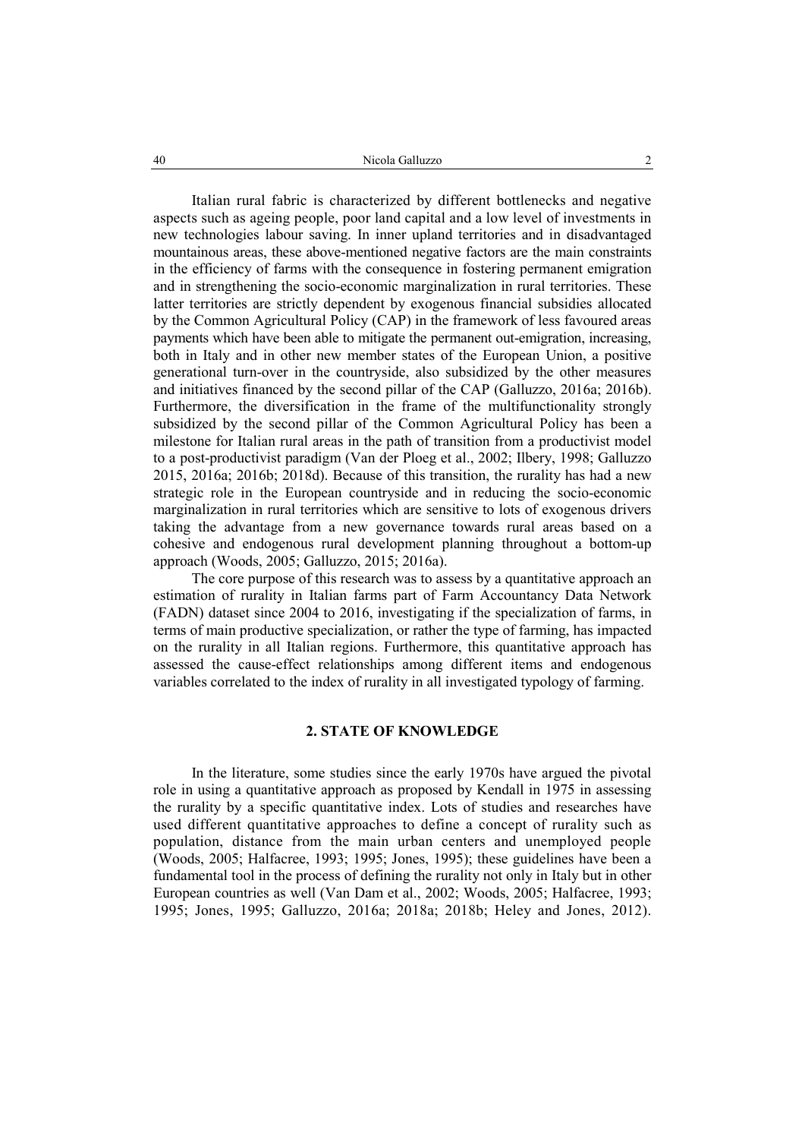Italian rural fabric is characterized by different bottlenecks and negative aspects such as ageing people, poor land capital and a low level of investments in new technologies labour saving. In inner upland territories and in disadvantaged mountainous areas, these above-mentioned negative factors are the main constraints in the efficiency of farms with the consequence in fostering permanent emigration and in strengthening the socio-economic marginalization in rural territories. These latter territories are strictly dependent by exogenous financial subsidies allocated by the Common Agricultural Policy (CAP) in the framework of less favoured areas payments which have been able to mitigate the permanent out-emigration, increasing, both in Italy and in other new member states of the European Union, a positive generational turn-over in the countryside, also subsidized by the other measures and initiatives financed by the second pillar of the CAP (Galluzzo, 2016a; 2016b). Furthermore, the diversification in the frame of the multifunctionality strongly subsidized by the second pillar of the Common Agricultural Policy has been a milestone for Italian rural areas in the path of transition from a productivist model to a post-productivist paradigm (Van der Ploeg et al., 2002; Ilbery, 1998; Galluzzo 2015, 2016a; 2016b; 2018d). Because of this transition, the rurality has had a new strategic role in the European countryside and in reducing the socio-economic marginalization in rural territories which are sensitive to lots of exogenous drivers taking the advantage from a new governance towards rural areas based on a cohesive and endogenous rural development planning throughout a bottom-up approach (Woods, 2005; Galluzzo, 2015; 2016a).

The core purpose of this research was to assess by a quantitative approach an estimation of rurality in Italian farms part of Farm Accountancy Data Network (FADN) dataset since 2004 to 2016, investigating if the specialization of farms, in terms of main productive specialization, or rather the type of farming, has impacted on the rurality in all Italian regions. Furthermore, this quantitative approach has assessed the cause-effect relationships among different items and endogenous variables correlated to the index of rurality in all investigated typology of farming.

#### **2. STATE OF KNOWLEDGE**

In the literature, some studies since the early 1970s have argued the pivotal role in using a quantitative approach as proposed by Kendall in 1975 in assessing the rurality by a specific quantitative index. Lots of studies and researches have used different quantitative approaches to define a concept of rurality such as population, distance from the main urban centers and unemployed people (Woods, 2005; Halfacree, 1993; 1995; Jones, 1995); these guidelines have been a fundamental tool in the process of defining the rurality not only in Italy but in other European countries as well (Van Dam et al., 2002; Woods, 2005; Halfacree, 1993; 1995; Jones, 1995; Galluzzo, 2016a; 2018a; 2018b; Heley and Jones, 2012).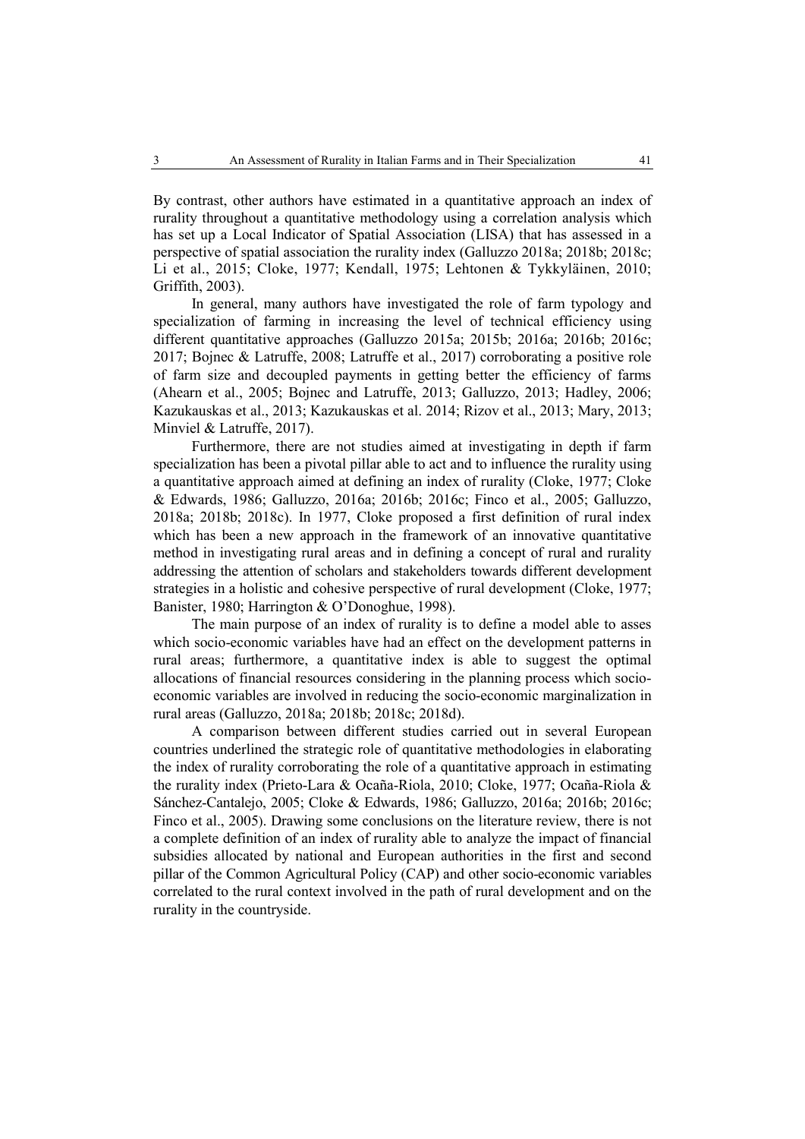By contrast, other authors have estimated in a quantitative approach an index of rurality throughout a quantitative methodology using a correlation analysis which has set up a Local Indicator of Spatial Association (LISA) that has assessed in a perspective of spatial association the rurality index (Galluzzo 2018a; 2018b; 2018c; Li et al., 2015; Cloke, 1977; Kendall, 1975; Lehtonen & Tykkyläinen, 2010; Griffith, 2003).

In general, many authors have investigated the role of farm typology and specialization of farming in increasing the level of technical efficiency using different quantitative approaches (Galluzzo 2015a; 2015b; 2016a; 2016b; 2016c; 2017; Bojnec & Latruffe, 2008; Latruffe et al., 2017) corroborating a positive role of farm size and decoupled payments in getting better the efficiency of farms (Ahearn et al., 2005; Bojnec and Latruffe, 2013; Galluzzo, 2013; Hadley, 2006; Kazukauskas et al., 2013; Kazukauskas et al. 2014; Rizov et al., 2013; Mary, 2013; Minviel & Latruffe, 2017).

Furthermore, there are not studies aimed at investigating in depth if farm specialization has been a pivotal pillar able to act and to influence the rurality using a quantitative approach aimed at defining an index of rurality (Cloke, 1977; Cloke & Edwards, 1986; Galluzzo, 2016a; 2016b; 2016c; Finco et al., 2005; Galluzzo, 2018a; 2018b; 2018c). In 1977, Cloke proposed a first definition of rural index which has been a new approach in the framework of an innovative quantitative method in investigating rural areas and in defining a concept of rural and rurality addressing the attention of scholars and stakeholders towards different development strategies in a holistic and cohesive perspective of rural development (Cloke, 1977; Banister, 1980; Harrington & O'Donoghue, 1998).

The main purpose of an index of rurality is to define a model able to asses which socio-economic variables have had an effect on the development patterns in rural areas; furthermore, a quantitative index is able to suggest the optimal allocations of financial resources considering in the planning process which socioeconomic variables are involved in reducing the socio-economic marginalization in rural areas (Galluzzo, 2018a; 2018b; 2018c; 2018d).

A comparison between different studies carried out in several European countries underlined the strategic role of quantitative methodologies in elaborating the index of rurality corroborating the role of a quantitative approach in estimating the rurality index (Prieto-Lara & Ocaña-Riola, 2010; Cloke, 1977; Ocaña-Riola & Sánchez-Cantalejo, 2005; Cloke & Edwards, 1986; Galluzzo, 2016a; 2016b; 2016c; Finco et al., 2005). Drawing some conclusions on the literature review, there is not a complete definition of an index of rurality able to analyze the impact of financial subsidies allocated by national and European authorities in the first and second pillar of the Common Agricultural Policy (CAP) and other socio-economic variables correlated to the rural context involved in the path of rural development and on the rurality in the countryside.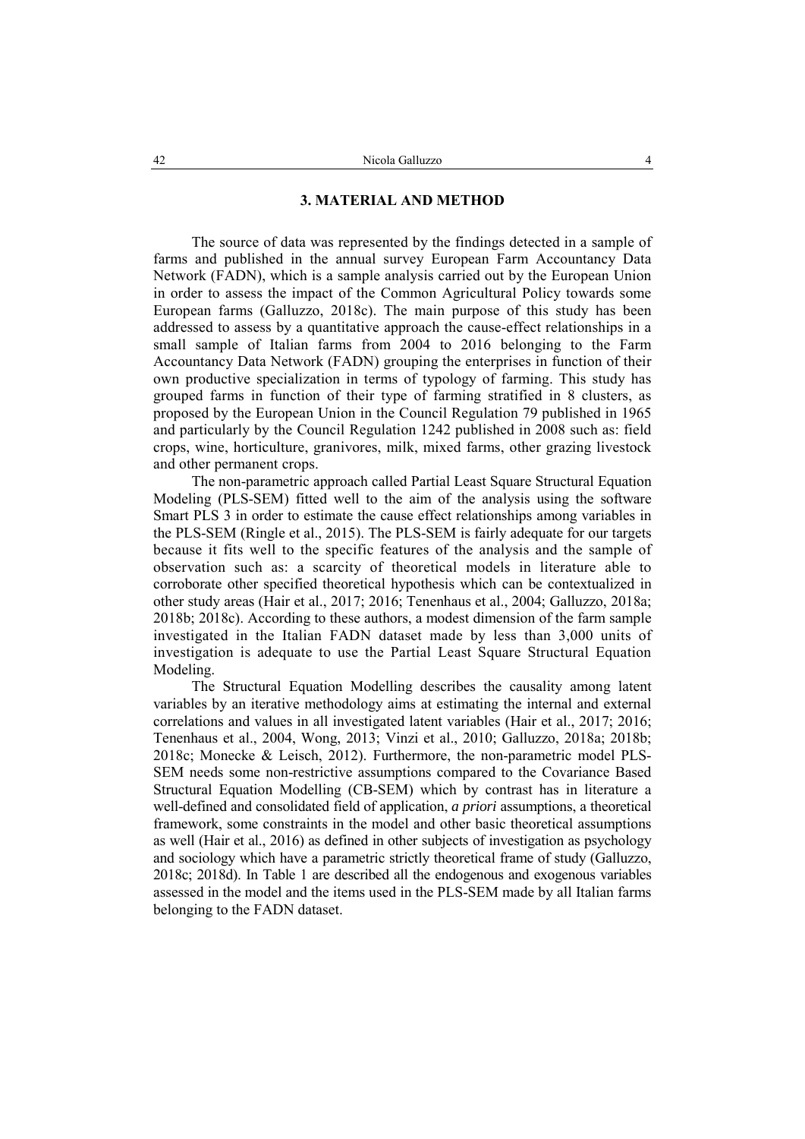#### **3. MATERIAL AND METHOD**

The source of data was represented by the findings detected in a sample of farms and published in the annual survey European Farm Accountancy Data Network (FADN), which is a sample analysis carried out by the European Union in order to assess the impact of the Common Agricultural Policy towards some European farms (Galluzzo, 2018c). The main purpose of this study has been addressed to assess by a quantitative approach the cause-effect relationships in a small sample of Italian farms from 2004 to 2016 belonging to the Farm Accountancy Data Network (FADN) grouping the enterprises in function of their own productive specialization in terms of typology of farming. This study has grouped farms in function of their type of farming stratified in 8 clusters, as proposed by the European Union in the Council Regulation 79 published in 1965 and particularly by the Council Regulation 1242 published in 2008 such as: field crops, wine, horticulture, granivores, milk, mixed farms, other grazing livestock and other permanent crops.

The non-parametric approach called Partial Least Square Structural Equation Modeling (PLS-SEM) fitted well to the aim of the analysis using the software Smart PLS 3 in order to estimate the cause effect relationships among variables in the PLS-SEM (Ringle et al., 2015). The PLS-SEM is fairly adequate for our targets because it fits well to the specific features of the analysis and the sample of observation such as: a scarcity of theoretical models in literature able to corroborate other specified theoretical hypothesis which can be contextualized in other study areas (Hair et al., 2017; 2016; Tenenhaus et al., 2004; Galluzzo, 2018a; 2018b; 2018c). According to these authors, a modest dimension of the farm sample investigated in the Italian FADN dataset made by less than 3,000 units of investigation is adequate to use the Partial Least Square Structural Equation Modeling.

The Structural Equation Modelling describes the causality among latent variables by an iterative methodology aims at estimating the internal and external correlations and values in all investigated latent variables (Hair et al., 2017; 2016; Tenenhaus et al., 2004, Wong, 2013; Vinzi et al., 2010; Galluzzo, 2018a; 2018b; 2018c; Monecke & Leisch, 2012). Furthermore, the non-parametric model PLS-SEM needs some non-restrictive assumptions compared to the Covariance Based Structural Equation Modelling (CB-SEM) which by contrast has in literature a well-defined and consolidated field of application, *a priori* assumptions, a theoretical framework, some constraints in the model and other basic theoretical assumptions as well (Hair et al., 2016) as defined in other subjects of investigation as psychology and sociology which have a parametric strictly theoretical frame of study (Galluzzo, 2018c; 2018d). In Table 1 are described all the endogenous and exogenous variables assessed in the model and the items used in the PLS-SEM made by all Italian farms belonging to the FADN dataset.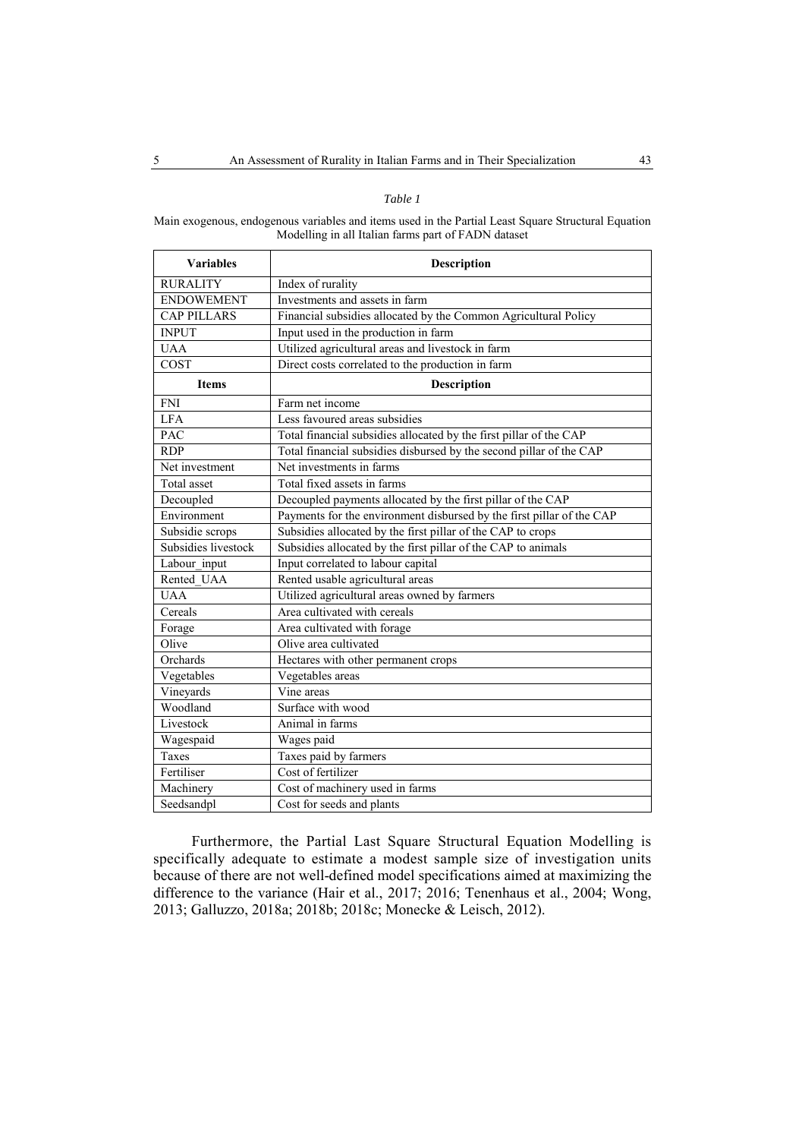#### *Table 1*

Main exogenous, endogenous variables and items used in the Partial Least Square Structural Equation Modelling in all Italian farms part of FADN dataset

| <b>Variables</b>    | Description                                                           |
|---------------------|-----------------------------------------------------------------------|
| <b>RURALITY</b>     | Index of rurality                                                     |
| <b>ENDOWEMENT</b>   | Investments and assets in farm                                        |
| <b>CAP PILLARS</b>  | Financial subsidies allocated by the Common Agricultural Policy       |
| <b>INPUT</b>        | Input used in the production in farm                                  |
| <b>UAA</b>          | Utilized agricultural areas and livestock in farm                     |
| COST                | Direct costs correlated to the production in farm                     |
| <b>Items</b>        | <b>Description</b>                                                    |
| <b>FNI</b>          | Farm net income                                                       |
| <b>LFA</b>          | Less favoured areas subsidies                                         |
| <b>PAC</b>          | Total financial subsidies allocated by the first pillar of the CAP    |
| <b>RDP</b>          | Total financial subsidies disbursed by the second pillar of the CAP   |
| Net investment      | Net investments in farms                                              |
| Total asset         | Total fixed assets in farms                                           |
| Decoupled           | Decoupled payments allocated by the first pillar of the CAP           |
| Environment         | Payments for the environment disbursed by the first pillar of the CAP |
| Subsidie scrops     | Subsidies allocated by the first pillar of the CAP to crops           |
| Subsidies livestock | Subsidies allocated by the first pillar of the CAP to animals         |
| Labour input        | Input correlated to labour capital                                    |
| Rented UAA          | Rented usable agricultural areas                                      |
| <b>UAA</b>          | Utilized agricultural areas owned by farmers                          |
| Cereals             | Area cultivated with cereals                                          |
| Forage              | Area cultivated with forage                                           |
| Olive               | Olive area cultivated                                                 |
| Orchards            | Hectares with other permanent crops                                   |
| Vegetables          | Vegetables areas                                                      |
| Vineyards           | Vine areas                                                            |
| Woodland            | Surface with wood                                                     |
| Livestock           | Animal in farms                                                       |
| Wagespaid           | Wages paid                                                            |
| <b>Taxes</b>        | Taxes paid by farmers                                                 |
| Fertiliser          | Cost of fertilizer                                                    |
| Machinery           | Cost of machinery used in farms                                       |
| Seedsandpl          | Cost for seeds and plants                                             |

Furthermore, the Partial Last Square Structural Equation Modelling is specifically adequate to estimate a modest sample size of investigation units because of there are not well-defined model specifications aimed at maximizing the difference to the variance (Hair et al., 2017; 2016; Tenenhaus et al., 2004; Wong, 2013; Galluzzo, 2018a; 2018b; 2018c; Monecke & Leisch, 2012).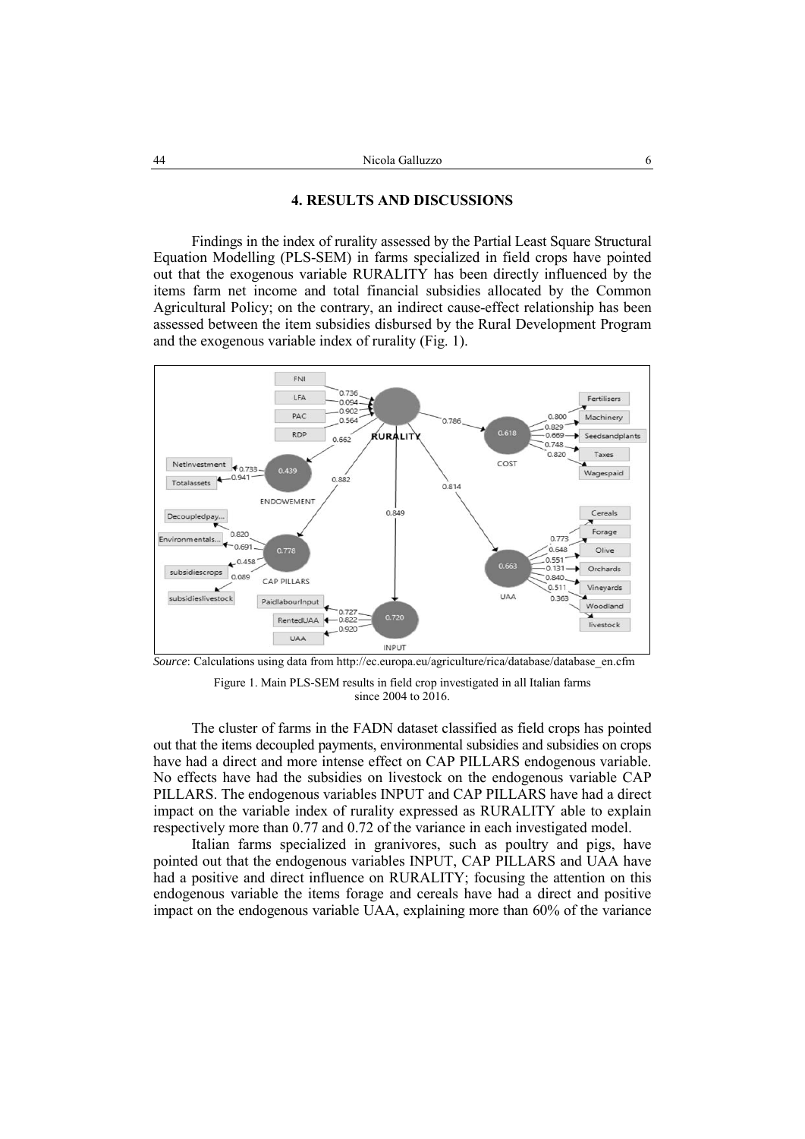#### **4. RESULTS AND DISCUSSIONS**

Findings in the index of rurality assessed by the Partial Least Square Structural Equation Modelling (PLS-SEM) in farms specialized in field crops have pointed out that the exogenous variable RURALITY has been directly influenced by the items farm net income and total financial subsidies allocated by the Common Agricultural Policy; on the contrary, an indirect cause-effect relationship has been assessed between the item subsidies disbursed by the Rural Development Program and the exogenous variable index of rurality (Fig. 1).



Figure 1. Main PLS-SEM results in field crop investigated in all Italian farms

since 2004 to 2016.

The cluster of farms in the FADN dataset classified as field crops has pointed out that the items decoupled payments, environmental subsidies and subsidies on crops have had a direct and more intense effect on CAP PILLARS endogenous variable. No effects have had the subsidies on livestock on the endogenous variable CAP PILLARS. The endogenous variables INPUT and CAP PILLARS have had a direct impact on the variable index of rurality expressed as RURALITY able to explain respectively more than 0.77 and 0.72 of the variance in each investigated model.

Italian farms specialized in granivores, such as poultry and pigs, have pointed out that the endogenous variables INPUT, CAP PILLARS and UAA have had a positive and direct influence on RURALITY; focusing the attention on this endogenous variable the items forage and cereals have had a direct and positive impact on the endogenous variable UAA, explaining more than 60% of the variance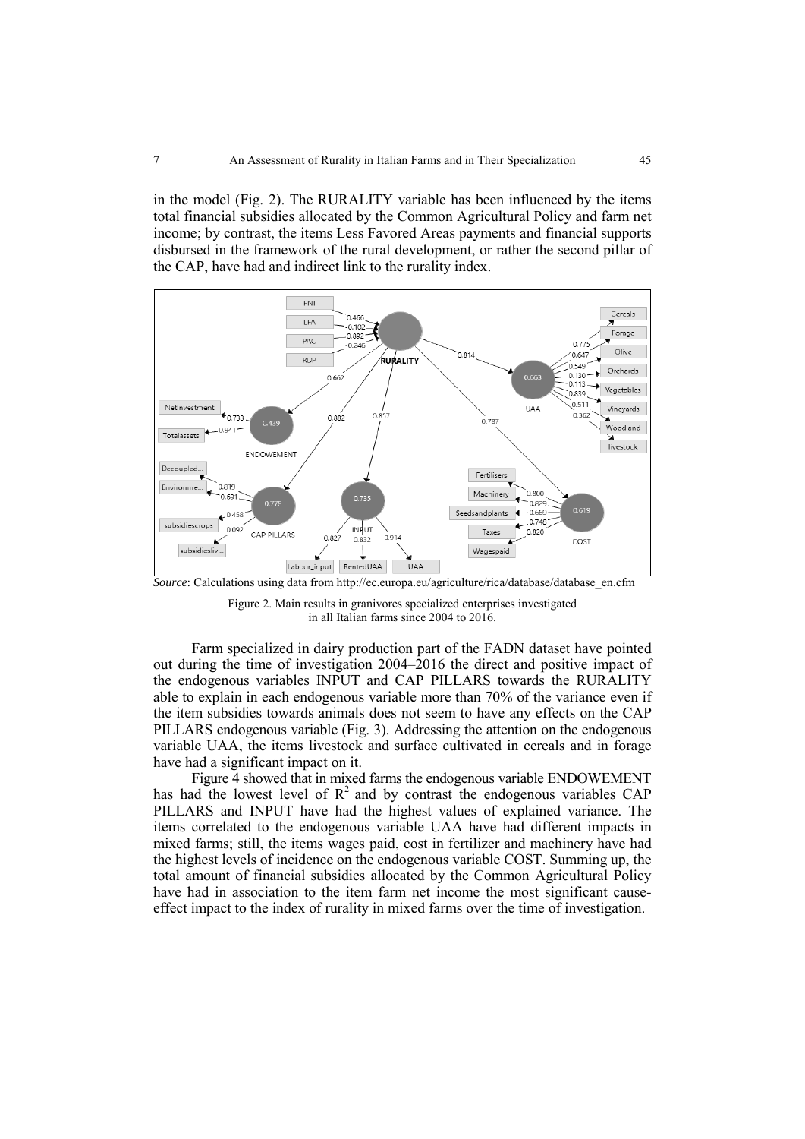in the model (Fig. 2). The RURALITY variable has been influenced by the items total financial subsidies allocated by the Common Agricultural Policy and farm net income; by contrast, the items Less Favored Areas payments and financial supports disbursed in the framework of the rural development, or rather the second pillar of the CAP, have had and indirect link to the rurality index.



*Source*: Calculations using data from http://ec.europa.eu/agriculture/rica/database/database\_en.cfm

Figure 2. Main results in granivores specialized enterprises investigated in all Italian farms since 2004 to 2016.

Farm specialized in dairy production part of the FADN dataset have pointed out during the time of investigation 2004–2016 the direct and positive impact of the endogenous variables INPUT and CAP PILLARS towards the RURALITY able to explain in each endogenous variable more than 70% of the variance even if the item subsidies towards animals does not seem to have any effects on the CAP PILLARS endogenous variable (Fig. 3). Addressing the attention on the endogenous variable UAA, the items livestock and surface cultivated in cereals and in forage have had a significant impact on it.

Figure 4 showed that in mixed farms the endogenous variable ENDOWEMENT has had the lowest level of  $R^2$  and by contrast the endogenous variables CAP PILLARS and INPUT have had the highest values of explained variance. The items correlated to the endogenous variable UAA have had different impacts in mixed farms; still, the items wages paid, cost in fertilizer and machinery have had the highest levels of incidence on the endogenous variable COST. Summing up, the total amount of financial subsidies allocated by the Common Agricultural Policy have had in association to the item farm net income the most significant causeeffect impact to the index of rurality in mixed farms over the time of investigation.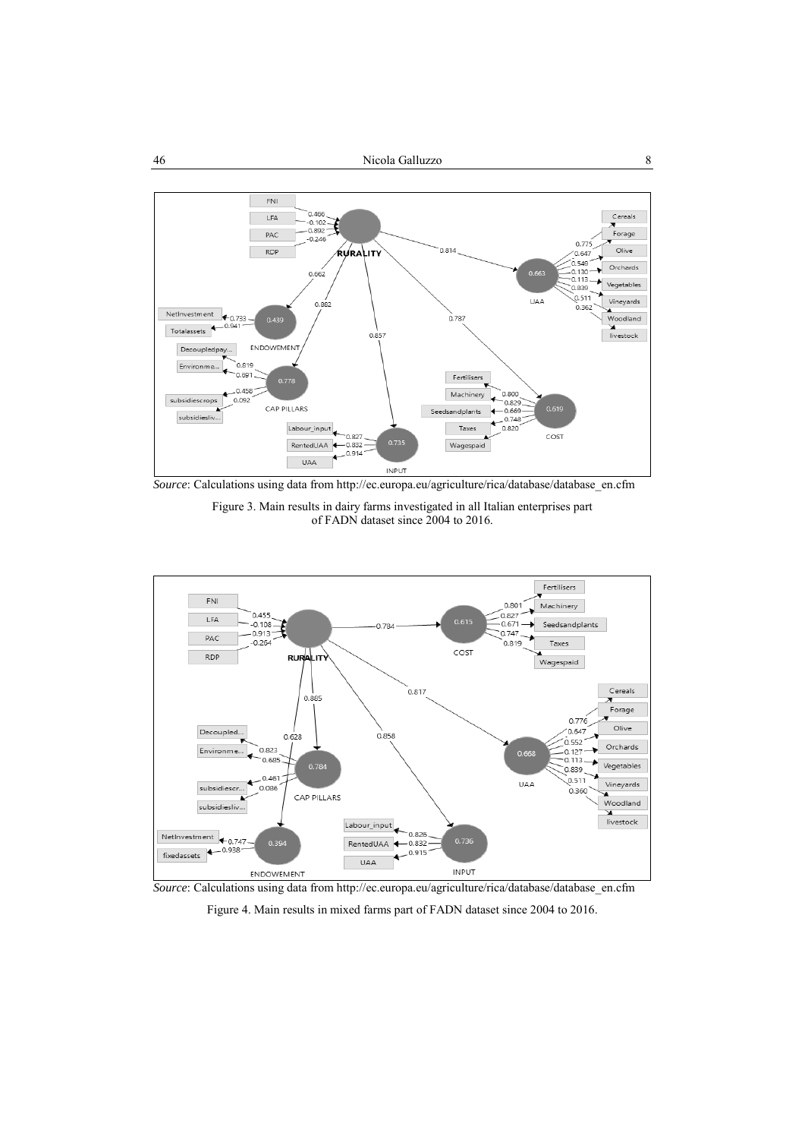

*Source*: Calculations using data from http://ec.europa.eu/agriculture/rica/database/database\_en.cfm

Figure 3. Main results in dairy farms investigated in all Italian enterprises part of FADN dataset since 2004 to 2016.



*Source*: Calculations using data from http://ec.europa.eu/agriculture/rica/database/database\_en.cfm

Figure 4. Main results in mixed farms part of FADN dataset since 2004 to 2016.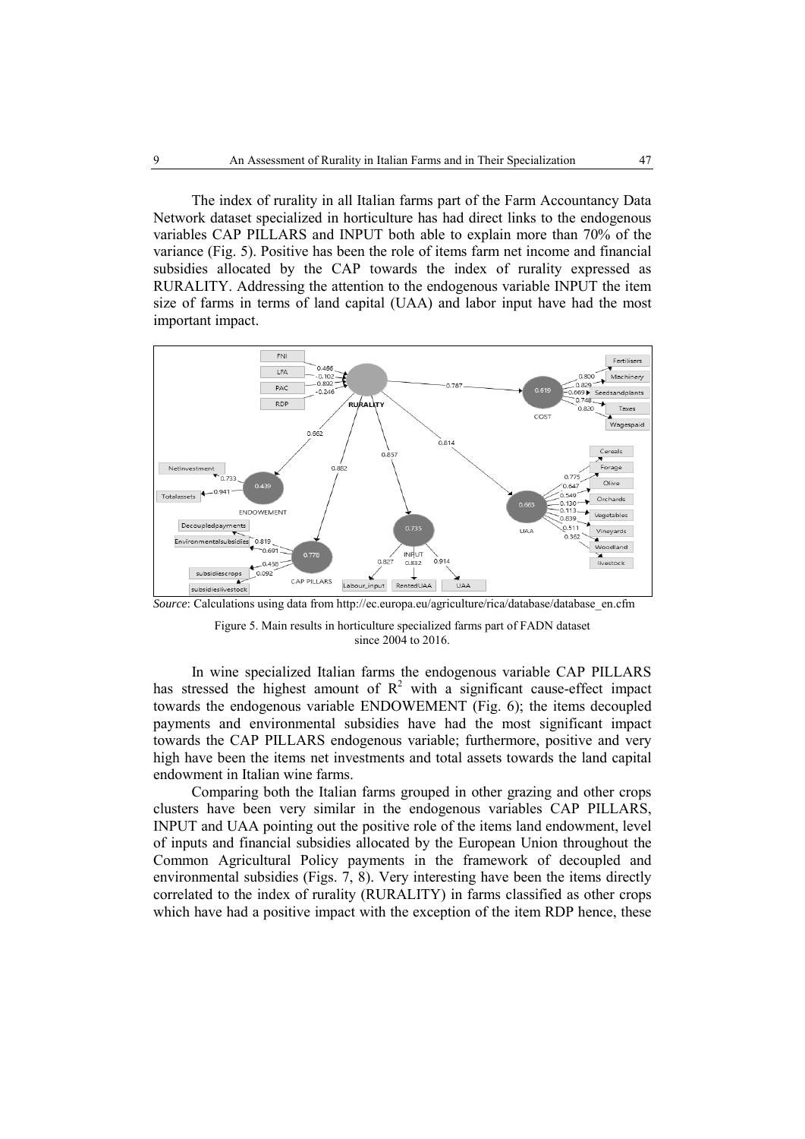The index of rurality in all Italian farms part of the Farm Accountancy Data Network dataset specialized in horticulture has had direct links to the endogenous variables CAP PILLARS and INPUT both able to explain more than 70% of the variance (Fig. 5). Positive has been the role of items farm net income and financial subsidies allocated by the CAP towards the index of rurality expressed as RURALITY. Addressing the attention to the endogenous variable INPUT the item size of farms in terms of land capital (UAA) and labor input have had the most important impact.



*Source*: Calculations using data from http://ec.europa.eu/agriculture/rica/database/database\_en.cfm

Figure 5. Main results in horticulture specialized farms part of FADN dataset since 2004 to 2016.

In wine specialized Italian farms the endogenous variable CAP PILLARS has stressed the highest amount of  $\mathbb{R}^2$  with a significant cause-effect impact towards the endogenous variable ENDOWEMENT (Fig. 6); the items decoupled payments and environmental subsidies have had the most significant impact towards the CAP PILLARS endogenous variable; furthermore, positive and very high have been the items net investments and total assets towards the land capital endowment in Italian wine farms.

Comparing both the Italian farms grouped in other grazing and other crops clusters have been very similar in the endogenous variables CAP PILLARS, INPUT and UAA pointing out the positive role of the items land endowment, level of inputs and financial subsidies allocated by the European Union throughout the Common Agricultural Policy payments in the framework of decoupled and environmental subsidies (Figs. 7, 8). Very interesting have been the items directly correlated to the index of rurality (RURALITY) in farms classified as other crops which have had a positive impact with the exception of the item RDP hence, these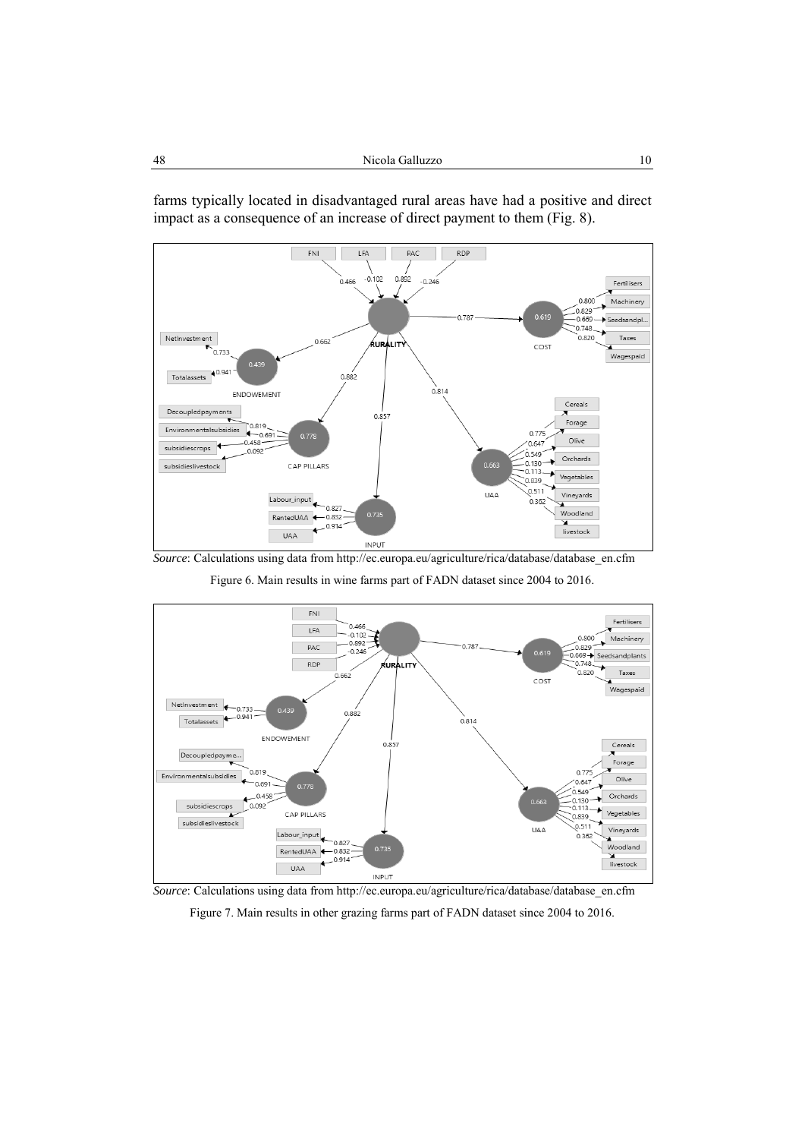

farms typically located in disadvantaged rural areas have had a positive and direct impact as a consequence of an increase of direct payment to them (Fig. 8).

*Source*: Calculations using data from http://ec.europa.eu/agriculture/rica/database/database\_en.cfm Figure 6. Main results in wine farms part of FADN dataset since 2004 to 2016.



*Source*: Calculations using data from http://ec.europa.eu/agriculture/rica/database/database\_en.cfm

Figure 7. Main results in other grazing farms part of FADN dataset since 2004 to 2016.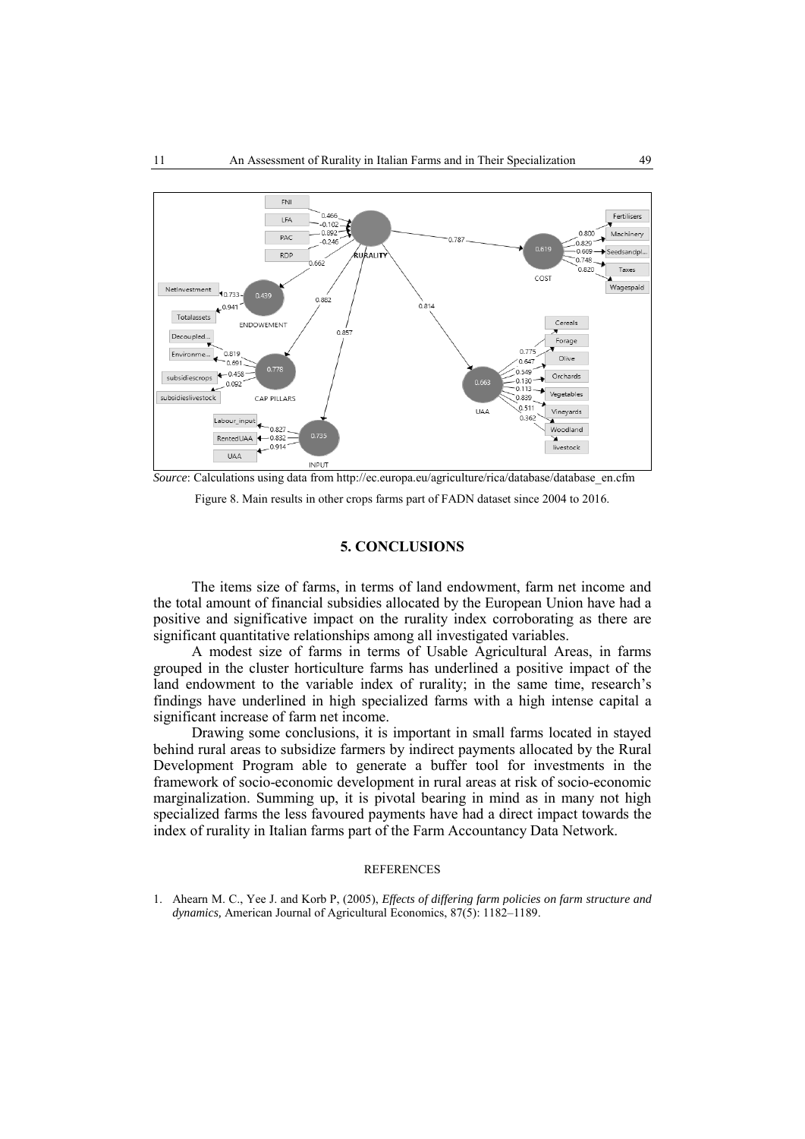

*Source*: Calculations using data from http://ec.europa.eu/agriculture/rica/database/database\_en.cfm Figure 8. Main results in other crops farms part of FADN dataset since 2004 to 2016.

### **5. CONCLUSIONS**

The items size of farms, in terms of land endowment, farm net income and the total amount of financial subsidies allocated by the European Union have had a positive and significative impact on the rurality index corroborating as there are significant quantitative relationships among all investigated variables.

A modest size of farms in terms of Usable Agricultural Areas, in farms grouped in the cluster horticulture farms has underlined a positive impact of the land endowment to the variable index of rurality; in the same time, research's findings have underlined in high specialized farms with a high intense capital a significant increase of farm net income.

Drawing some conclusions, it is important in small farms located in stayed behind rural areas to subsidize farmers by indirect payments allocated by the Rural Development Program able to generate a buffer tool for investments in the framework of socio-economic development in rural areas at risk of socio-economic marginalization. Summing up, it is pivotal bearing in mind as in many not high specialized farms the less favoured payments have had a direct impact towards the index of rurality in Italian farms part of the Farm Accountancy Data Network.

#### **REFERENCES**

1. Ahearn M. C., Yee J. and Korb P, (2005), *Effects of differing farm policies on farm structure and dynamics,* American Journal of Agricultural Economics, 87(5): 1182–1189.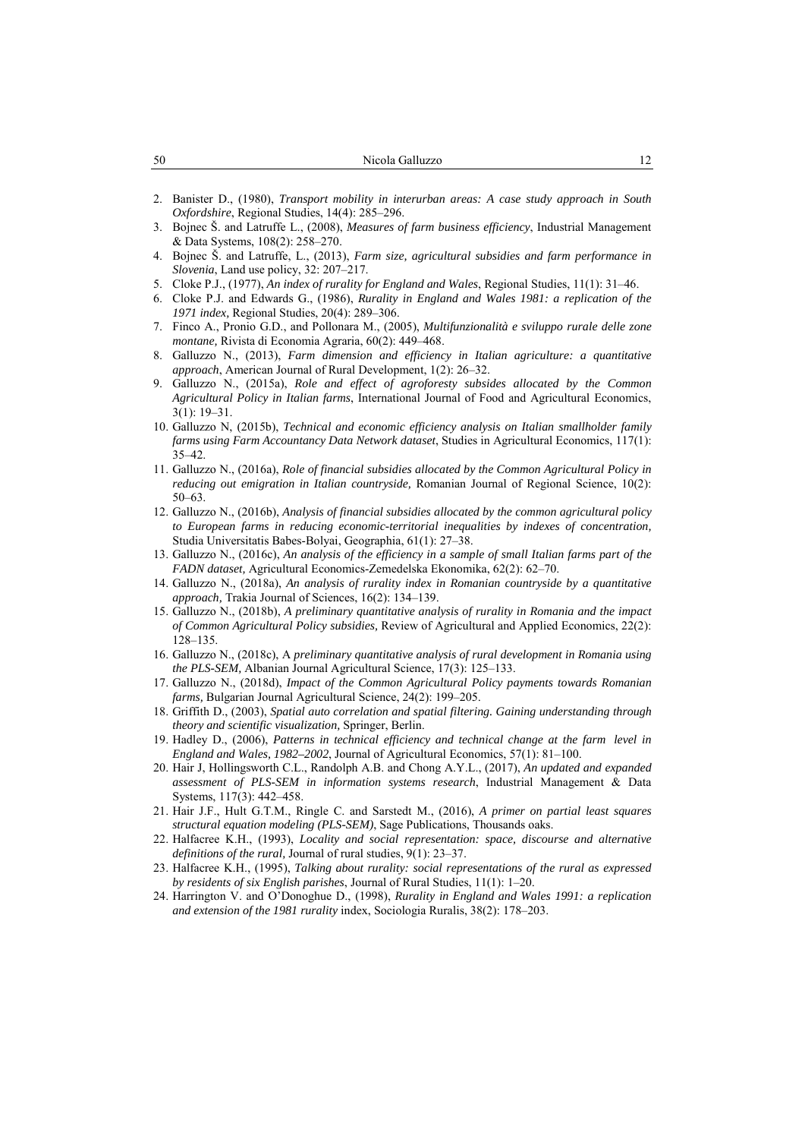- 2. Banister D., (1980), *Transport mobility in interurban areas: A case study approach in South Oxfordshire*, Regional Studies, 14(4): 285–296.
- 3. Bojnec Š. and Latruffe L., (2008), *Measures of farm business efficiency*, Industrial Management & Data Systems, 108(2): 258–270.
- 4. Bojnec Š. and Latruffe, L., (2013), *Farm size, agricultural subsidies and farm performance in Slovenia*, Land use policy, 32: 207–217.
- 5. Cloke P.J., (1977), *An index of rurality for England and Wales*, Regional Studies, 11(1): 31–46.
- 6. Cloke P.J. and Edwards G., (1986), *Rurality in England and Wales 1981: a replication of the 1971 index,* Regional Studies, 20(4): 289–306.
- 7. Finco A., Pronio G.D., and Pollonara M., (2005), *Multifunzionalità e sviluppo rurale delle zone montane,* Rivista di Economia Agraria, 60(2): 449–468.
- 8. Galluzzo N., (2013), *Farm dimension and efficiency in Italian agriculture: a quantitative approach*, American Journal of Rural Development, 1(2): 26–32.
- 9. Galluzzo N., (2015a), *Role and effect of agroforesty subsides allocated by the Common Agricultural Policy in Italian farms*, International Journal of Food and Agricultural Economics, 3(1): 19–31.
- 10. Galluzzo N, (2015b), *Technical and economic efficiency analysis on Italian smallholder family farms using Farm Accountancy Data Network dataset*, Studies in Agricultural Economics, 117(1): 35–42.
- 11. Galluzzo N., (2016a), *Role of financial subsidies allocated by the Common Agricultural Policy in reducing out emigration in Italian countryside,* Romanian Journal of Regional Science, 10(2): 50–63.
- 12. Galluzzo N., (2016b), *Analysis of financial subsidies allocated by the common agricultural policy to European farms in reducing economic-territorial inequalities by indexes of concentration,* Studia Universitatis Babes-Bolyai, Geographia, 61(1): 27–38.
- 13. Galluzzo N., (2016c), *An analysis of the efficiency in a sample of small Italian farms part of the FADN dataset,* Agricultural Economics-Zemedelska Ekonomika, 62(2): 62–70.
- 14. Galluzzo N., (2018a), *An analysis of rurality index in Romanian countryside by a quantitative approach,* Trakia Journal of Sciences, 16(2): 134–139.
- 15. Galluzzo N., (2018b), *A preliminary quantitative analysis of rurality in Romania and the impact of Common Agricultural Policy subsidies,* Review of Agricultural and Applied Economics, 22(2): 128–135.
- 16. Galluzzo N., (2018c), A *preliminary quantitative analysis of rural development in Romania using the PLS-SEM,* Albanian Journal Agricultural Science, 17(3): 125–133.
- 17. Galluzzo N., (2018d), *Impact of the Common Agricultural Policy payments towards Romanian farms,* Bulgarian Journal Agricultural Science, 24(2): 199–205.
- 18. Griffith D., (2003), *Spatial auto correlation and spatial filtering. Gaining understanding through theory and scientific visualization,* Springer, Berlin.
- 19. Hadley D., (2006), *Patterns in technical efficiency and technical change at the farm level in England and Wales, 1982–2002*, Journal of Agricultural Economics, 57(1): 81–100.
- 20. Hair J, Hollingsworth C.L., Randolph A.B. and Chong A.Y.L., (2017), *An updated and expanded assessment of PLS-SEM in information systems research*, Industrial Management & Data Systems, 117(3): 442–458.
- 21. Hair J.F., Hult G.T.M., Ringle C. and Sarstedt M., (2016), *A primer on partial least squares structural equation modeling (PLS-SEM)*, Sage Publications, Thousands oaks.
- 22. Halfacree K.H., (1993), *Locality and social representation: space, discourse and alternative definitions of the rural,* Journal of rural studies, 9(1): 23–37.
- 23. Halfacree K.H., (1995), *Talking about rurality: social representations of the rural as expressed by residents of six English parishes*, Journal of Rural Studies, 11(1): 1–20.
- 24. Harrington V. and O'Donoghue D., (1998), *Rurality in England and Wales 1991: a replication and extension of the 1981 rurality* index, Sociologia Ruralis, 38(2): 178–203.